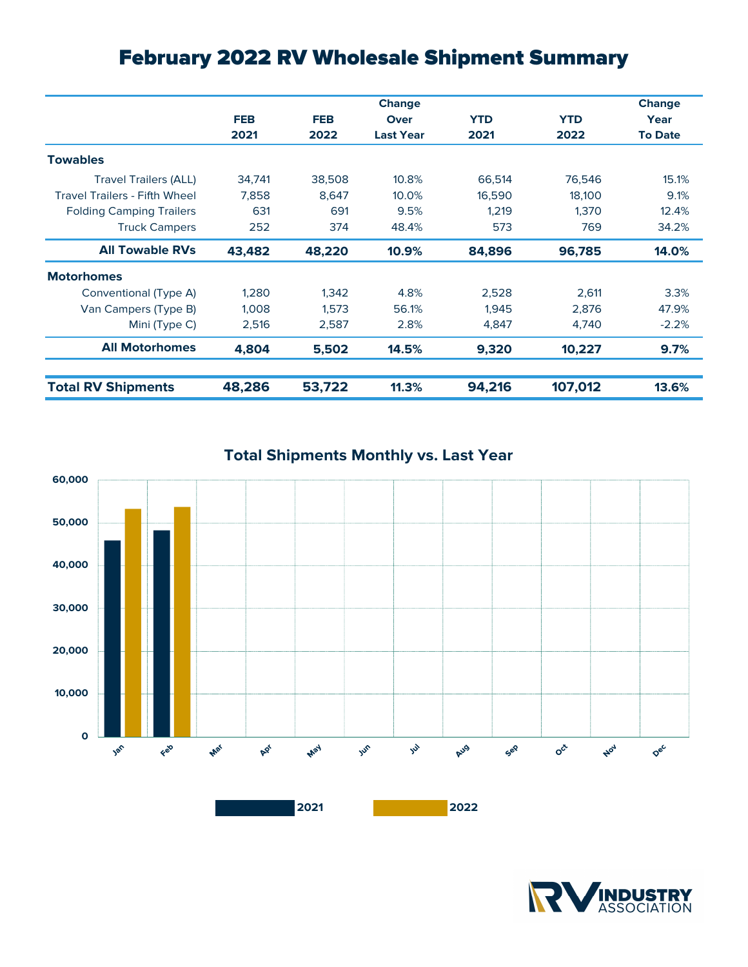## February 2022 RV Wholesale Shipment Summary

|                                      |            |            | Change           |            |            | <b>Change</b>  |
|--------------------------------------|------------|------------|------------------|------------|------------|----------------|
|                                      | <b>FEB</b> | <b>FEB</b> | Over             | <b>YTD</b> | <b>YTD</b> | Year           |
|                                      | 2021       | 2022       | <b>Last Year</b> | 2021       | 2022       | <b>To Date</b> |
| <b>Towables</b>                      |            |            |                  |            |            |                |
| <b>Travel Trailers (ALL)</b>         | 34,741     | 38,508     | 10.8%            | 66,514     | 76,546     | 15.1%          |
| <b>Travel Trailers - Fifth Wheel</b> | 7,858      | 8,647      | 10.0%            | 16,590     | 18,100     | 9.1%           |
| <b>Folding Camping Trailers</b>      | 631        | 691        | 9.5%             | 1,219      | 1,370      | 12.4%          |
| <b>Truck Campers</b>                 | 252        | 374        | 48.4%            | 573        | 769        | 34.2%          |
| <b>All Towable RVs</b>               | 43,482     | 48,220     | 10.9%            | 84,896     | 96,785     | 14.0%          |
| <b>Motorhomes</b>                    |            |            |                  |            |            |                |
| Conventional (Type A)                | 1,280      | 1,342      | 4.8%             | 2,528      | 2,611      | 3.3%           |
| Van Campers (Type B)                 | 1,008      | 1,573      | 56.1%            | 1,945      | 2,876      | 47.9%          |
| Mini (Type C)                        | 2,516      | 2,587      | 2.8%             | 4,847      | 4,740      | $-2.2%$        |
| <b>All Motorhomes</b>                | 4,804      | 5,502      | 14.5%            | 9,320      | 10,227     | 9.7%           |
| <b>Total RV Shipments</b>            | 48,286     | 53,722     | 11.3%            | 94,216     | 107,012    | 13.6%          |





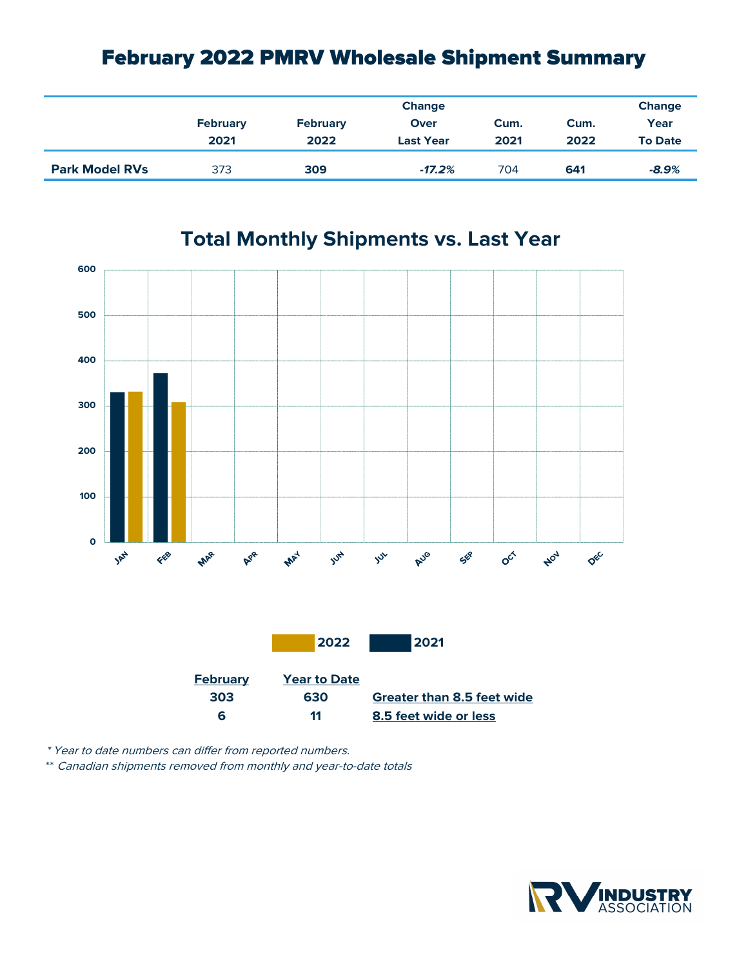## February 2022 PMRV Wholesale Shipment Summary

|                       |                 | Change          |                  |      |      |                |  |
|-----------------------|-----------------|-----------------|------------------|------|------|----------------|--|
|                       | <b>February</b> | <b>February</b> | Over             | Cum. | Cum. | Year           |  |
|                       | 2021            | 2022            | <b>Last Year</b> | 2021 | 2022 | <b>To Date</b> |  |
| <b>Park Model RVs</b> | 373             | 309             | $-17.2%$         | 704  | 641  | $-8.9%$        |  |



## **Total Monthly Shipments vs. Last Year**

\* Year to date numbers can differ from reported numbers.

\*\* Canadian shipments removed from monthly and year-to-date totals